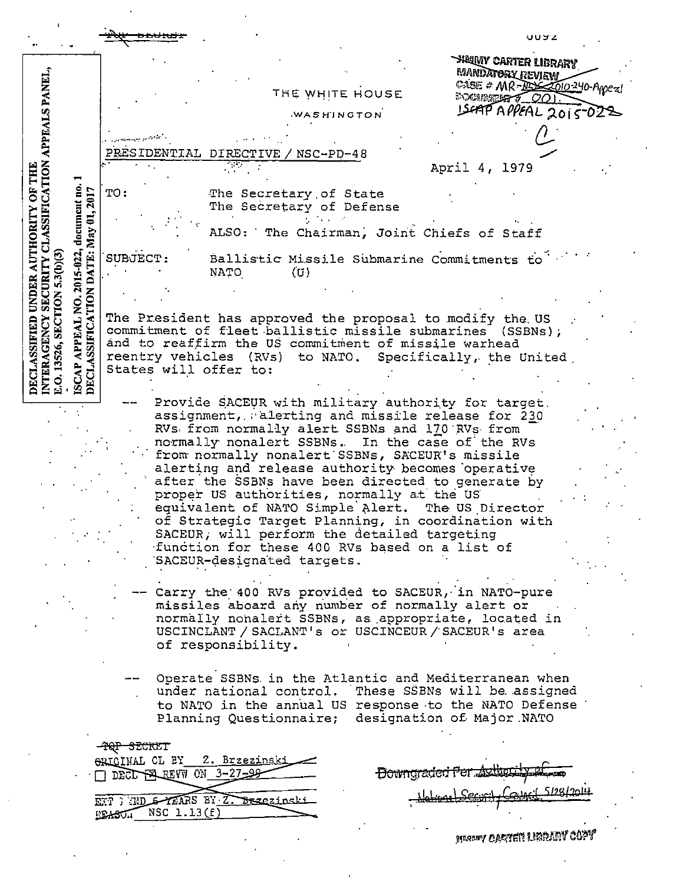|                                                                                                                                                                                                                                                                                                                                                                                                                                      |                                                                                                                                                                                                                                                                                                                                                                        | いいらこ                                                          |
|--------------------------------------------------------------------------------------------------------------------------------------------------------------------------------------------------------------------------------------------------------------------------------------------------------------------------------------------------------------------------------------------------------------------------------------|------------------------------------------------------------------------------------------------------------------------------------------------------------------------------------------------------------------------------------------------------------------------------------------------------------------------------------------------------------------------|---------------------------------------------------------------|
|                                                                                                                                                                                                                                                                                                                                                                                                                                      |                                                                                                                                                                                                                                                                                                                                                                        | <b>HEUNY CARTER LIBRARY</b><br><b>MANDATORY REVIEW</b>        |
|                                                                                                                                                                                                                                                                                                                                                                                                                                      | THE WHITE HOUSE                                                                                                                                                                                                                                                                                                                                                        | CASE # MR-ASSESSIO-240-Appeal<br><b>EXCUSSION # 001</b>       |
|                                                                                                                                                                                                                                                                                                                                                                                                                                      | WASHINGTON                                                                                                                                                                                                                                                                                                                                                             | ISCAP APPEAL 2015-023                                         |
|                                                                                                                                                                                                                                                                                                                                                                                                                                      |                                                                                                                                                                                                                                                                                                                                                                        |                                                               |
|                                                                                                                                                                                                                                                                                                                                                                                                                                      | PRESIDENTIAL<br>$NSC-PD-48$<br>DIRECTIVE                                                                                                                                                                                                                                                                                                                               |                                                               |
|                                                                                                                                                                                                                                                                                                                                                                                                                                      |                                                                                                                                                                                                                                                                                                                                                                        | April 4, 1979                                                 |
| document no.<br>2017                                                                                                                                                                                                                                                                                                                                                                                                                 | TO:<br>The Secretary of State<br>The Secretary of Defense                                                                                                                                                                                                                                                                                                              |                                                               |
|                                                                                                                                                                                                                                                                                                                                                                                                                                      | ALSO: The Chairman, Joint Chiefs of Staff                                                                                                                                                                                                                                                                                                                              |                                                               |
| DATE: May 01,<br>2015-022,<br>5.3 <sub>(b)</sub> (3)                                                                                                                                                                                                                                                                                                                                                                                 | SUBJECT:<br>Ballistic Missile Submarine Commitments to<br>NATO<br>(U)                                                                                                                                                                                                                                                                                                  |                                                               |
|                                                                                                                                                                                                                                                                                                                                                                                                                                      |                                                                                                                                                                                                                                                                                                                                                                        |                                                               |
| NTERAGENCY SECURITY CLASSIFICATION APPEALS PANEL,<br>DECLASSIFIED UNDER AUTHORITY OF THE<br><b>ISCAP APPEAL NO. 2</b><br>DECLASSIFICATION<br>SECTION<br>The President has approved the proposal to modify the US<br>commitment of fleet ballistic missile submarines (SSBNs);<br>and to reaffirm the US commitment of missile warhead<br>13526,<br>reentry vehicles (RVs) to NATO. Specifically, the United<br>States will offer to: |                                                                                                                                                                                                                                                                                                                                                                        |                                                               |
|                                                                                                                                                                                                                                                                                                                                                                                                                                      |                                                                                                                                                                                                                                                                                                                                                                        |                                                               |
|                                                                                                                                                                                                                                                                                                                                                                                                                                      | Provide SACEUR with military authority for target.<br>assignment, alerting and missile release for 230<br>RVs from normally alert SSBNs and 170 RVs from<br>normally nonalert SSBNs. In the case of the RVs<br>from normally nonalert SSBNs, SACEUR's missile<br>alerting and release authority becomes operative<br>after the SSBNs have been directed to generate by |                                                               |
| proper US authorities, normally at the US<br>equivalent of NATO Simple Alert. The US Director<br>of Strategic Target Planning, in coordination with<br>SACEUR, will perform the detailed targeting                                                                                                                                                                                                                                   |                                                                                                                                                                                                                                                                                                                                                                        |                                                               |
|                                                                                                                                                                                                                                                                                                                                                                                                                                      | function for these 400 RVs based on a list of<br>SACEUR-designated targets.                                                                                                                                                                                                                                                                                            |                                                               |
|                                                                                                                                                                                                                                                                                                                                                                                                                                      | Carry the 400 RVs provided to SACEUR, in NATO-pure<br>missiles aboard any number of normally alert or<br>normally nonalert SSBNs, as appropriate, located in<br>USCINCLANT / SACLANT's or USCINCEUR / SACEUR's area<br>of responsibility.                                                                                                                              |                                                               |
|                                                                                                                                                                                                                                                                                                                                                                                                                                      | Operate SSBNs in the Atlantic and Mediterranean when<br>under national control. These SSBNs will be assigned<br>to NATO in the annual US response to the NATO Defense<br>Planning Questionnaire;                                                                                                                                                                       | designation of Major NATO                                     |
|                                                                                                                                                                                                                                                                                                                                                                                                                                      | -TQP SECRET<br>ORICINAL CL BY<br><u> 2. Brzezinski</u>                                                                                                                                                                                                                                                                                                                 |                                                               |
|                                                                                                                                                                                                                                                                                                                                                                                                                                      | DECL PAREVW ON 3-27-99-                                                                                                                                                                                                                                                                                                                                                | Howngraded Per Authority 21<br>. 1 5190 l<br>$\Lambda$ Corner |
|                                                                                                                                                                                                                                                                                                                                                                                                                                      | ETT : TD & TEARS BY Z. Brzezinski<br>$EBASU.$ NSC $1.13(f)$                                                                                                                                                                                                                                                                                                            |                                                               |
|                                                                                                                                                                                                                                                                                                                                                                                                                                      |                                                                                                                                                                                                                                                                                                                                                                        | <b>Sincony Carter Library Copy</b>                            |

 $\epsilon$ 

 $\hat{\mathcal{A}}$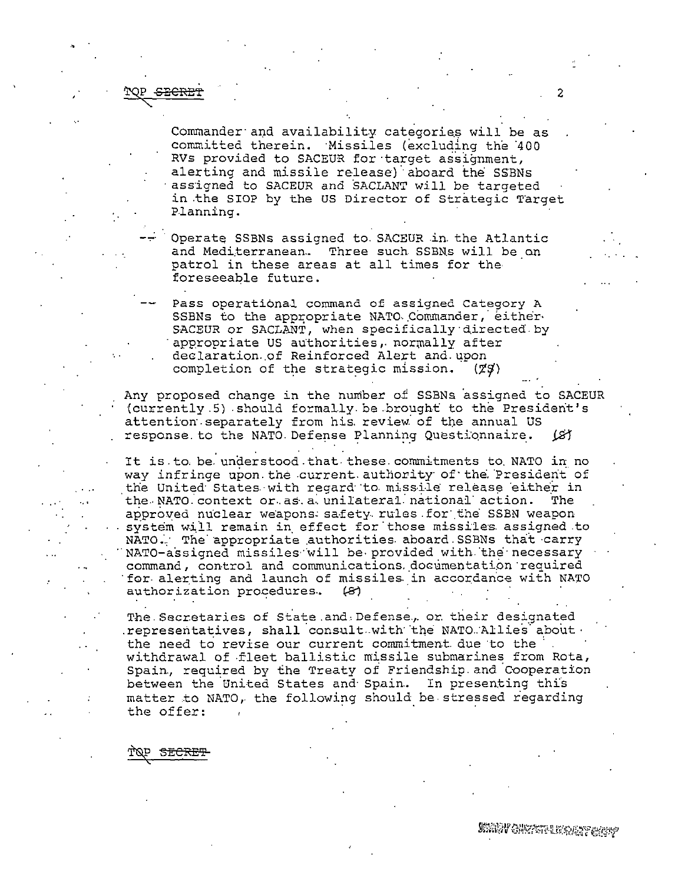## SECRET

Commander and availability categories will be as committed therein. Missiles (excluding the 400 RVs provided to SACEUR for target assignment, alerting and missile release) aboard the SSBNs assigned to SACEUR and SACLANT will be targeted in the SIOP by the US Director of Strategic Target Planning.

Operate SSBNs assigned to SACEUR in the Atlantic and Mediterranean. Three such SSBNs will be on patrol in these areas at all times for the foreseeable future.

Pass operational command of assigned Category A SSBNs to the appropriate NATO Commander, either SACEUR or SACLANT, when specifically directed by appropriate US authorities, normally after declaration of Reinforced Alert and upon completion of the strategic mission.  $(79)$ 

Any proposed change in the number of SSBNs assigned to SACEUR (currently 5) should formally be brought to the President's attention separately from his review of the annual US response to the NATO Defense Planning Questionnaire. ख

It is to be understood that these commitments to NATO in no way infringe upon the current authority of the President of the United States with regard to missile release either in the NATO context or as a unilateral national action. The approved nuclear weapons safety rules for the SSBN weapon system will remain in effect for those missiles assigned to NATO. The appropriate authorities aboard SSBNs that carry NATO-assigned missiles will be provided with the necessary command, control and communications documentation required for alerting and launch of missiles in accordance with NATO authorization procedures. 131

The Secretaries of State and Defense, or their designated representatives, shall consult with the NATO Allies about. the need to revise our current commitment due to the withdrawal of fleet ballistic missile submarines from Rota, Spain, required by the Treaty of Friendship and Cooperation between the United States and Spain. In presenting this matter to NATO, the following should be stressed regarding the offer:

SECRET